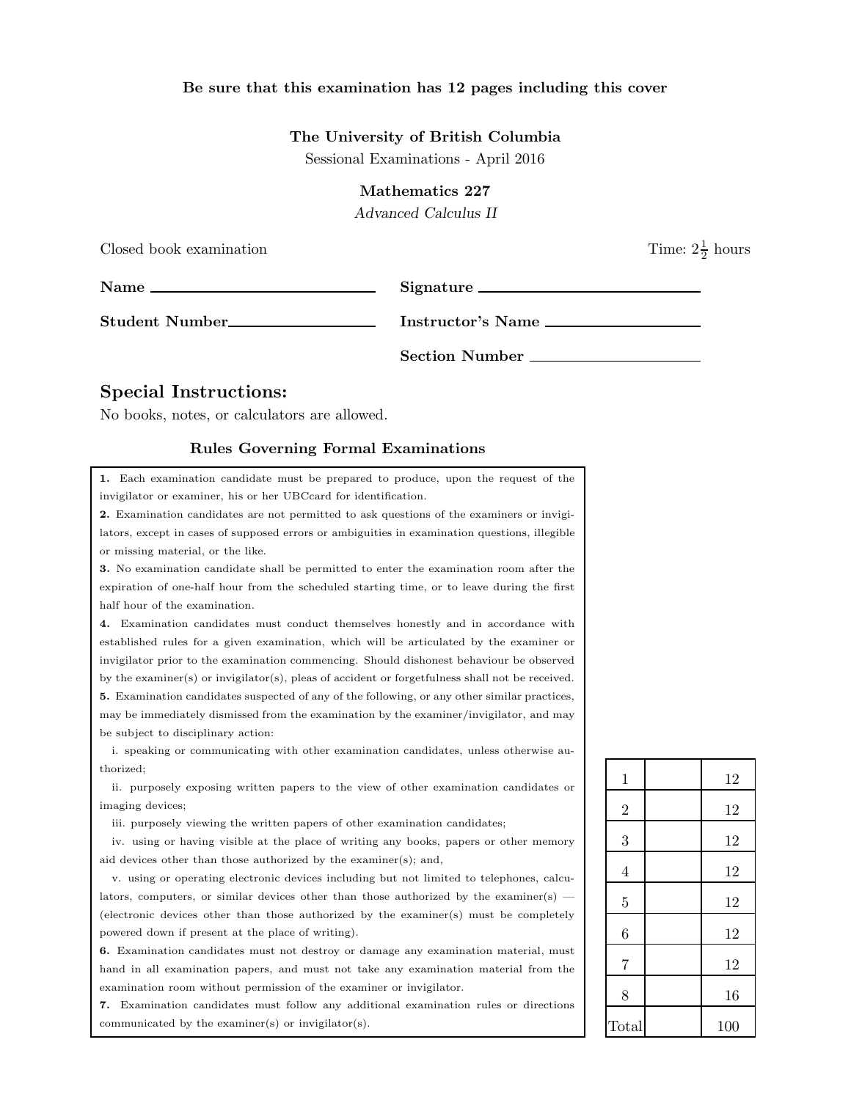## Be sure that this examination has 12 pages including this cover

## The University of British Columbia

Sessional Examinations - April 2016

Mathematics 227

Advanced Calculus II

| Closed book examination                                                  |                   | Time: $2\frac{1}{2}$ hours |
|--------------------------------------------------------------------------|-------------------|----------------------------|
| Name $\frac{1}{\sqrt{1-\frac{1}{2}}\left\lceil \frac{1}{2}\right\rceil}$ | Signature         |                            |
| Student Number                                                           | Instructor's Name |                            |
|                                                                          | Section Number    |                            |

## Special Instructions:

No books, notes, or calculators are allowed.

## Rules Governing Formal Examinations

1. Each examination candidate must be prepared to produce, upon the request of the invigilator or examiner, his or her UBCcard for identification.

2. Examination candidates are not permitted to ask questions of the examiners or invigilators, except in cases of supposed errors or ambiguities in examination questions, illegible or missing material, or the like.

3. No examination candidate shall be permitted to enter the examination room after the expiration of one-half hour from the scheduled starting time, or to leave during the first half hour of the examination.

4. Examination candidates must conduct themselves honestly and in accordance with established rules for a given examination, which will be articulated by the examiner or invigilator prior to the examination commencing. Should dishonest behaviour be observed by the examiner(s) or invigilator(s), pleas of accident or forgetfulness shall not be received. 5. Examination candidates suspected of any of the following, or any other similar practices, may be immediately dismissed from the examination by the examiner/invigilator, and may be subject to disciplinary action:

i. speaking or communicating with other examination candidates, unless otherwise authorized;

ii. purposely exposing written papers to the view of other examination candidates or imaging devices;

iii. purposely viewing the written papers of other examination candidates;

iv. using or having visible at the place of writing any books, papers or other memory aid devices other than those authorized by the examiner(s); and,

v. using or operating electronic devices including but not limited to telephones, calculators, computers, or similar devices other than those authorized by the examiner(s) — (electronic devices other than those authorized by the examiner(s) must be completely powered down if present at the place of writing).

6. Examination candidates must not destroy or damage any examination material, must hand in all examination papers, and must not take any examination material from the examination room without permission of the examiner or invigilator.

7. Examination candidates must follow any additional examination rules or directions communicated by the examiner(s) or invigilator(s).

| $\mathbf{1}$   | 12  |
|----------------|-----|
| $\overline{2}$ | 12  |
| 3              | 12  |
| $\overline{4}$ | 12  |
| $\overline{5}$ | 12  |
| 6              | 12  |
| $\overline{7}$ | 12  |
| 8              | 16  |
| Total          | 100 |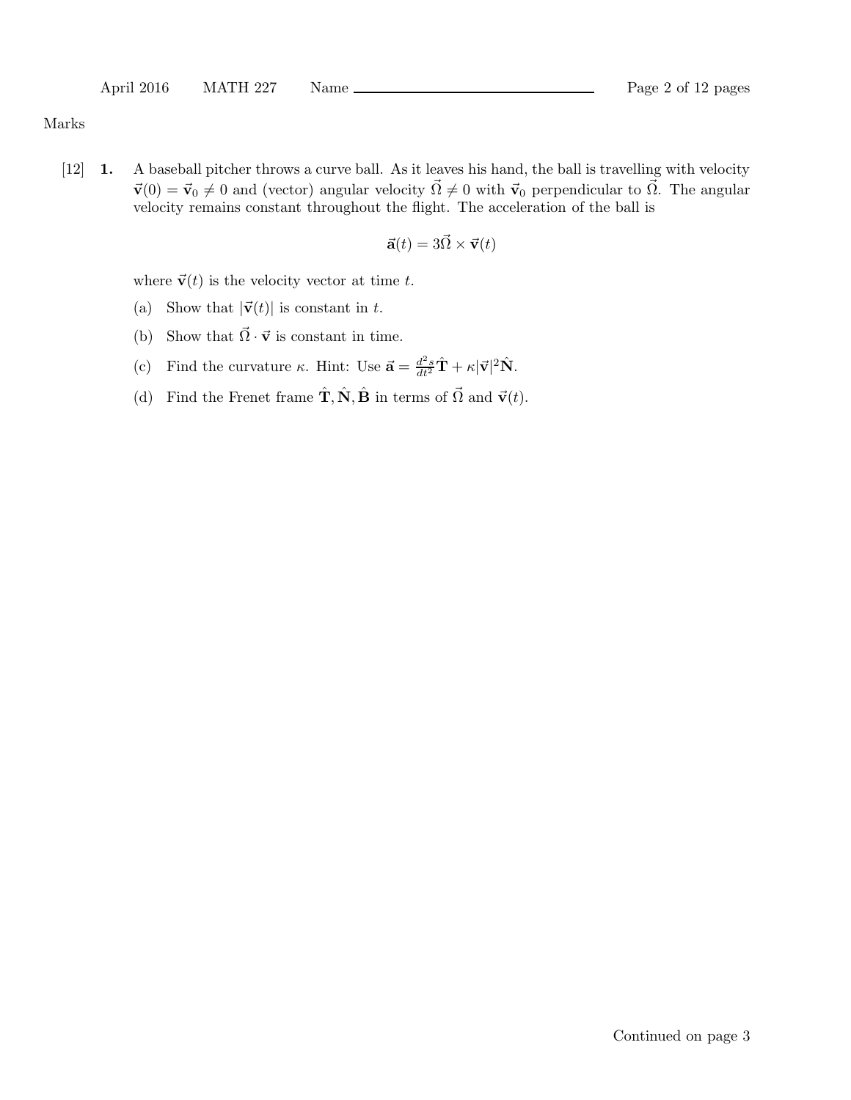Marks

[12] 1. A baseball pitcher throws a curve ball. As it leaves his hand, the ball is travelling with velocity  $\vec{v}(0) = \vec{v}_0 \neq 0$  and (vector) angular velocity  $\vec{\Omega} \neq 0$  with  $\vec{v}_0$  perpendicular to  $\vec{\Omega}$ . The angular velocity remains constant throughout the flight. The acceleration of the ball is

$$
\vec{\mathbf{a}}(t) = 3\vec{\Omega} \times \vec{\mathbf{v}}(t)
$$

where  $\vec{v}(t)$  is the velocity vector at time t.

- (a) Show that  $|\vec{v}(t)|$  is constant in t.
- (b) Show that  $\vec{\Omega} \cdot \vec{v}$  is constant in time.
- (c) Find the curvature  $\kappa$ . Hint: Use  $\vec{\mathbf{a}} = \frac{d^2 s}{dt^2} \hat{\mathbf{T}} + \kappa |\vec{\mathbf{v}}|^2 \hat{\mathbf{N}}$ .
- (d) Find the Frenet frame  $\hat{\mathbf{T}}, \hat{\mathbf{N}}, \hat{\mathbf{B}}$  in terms of  $\vec{\Omega}$  and  $\vec{\mathbf{v}}(t)$ .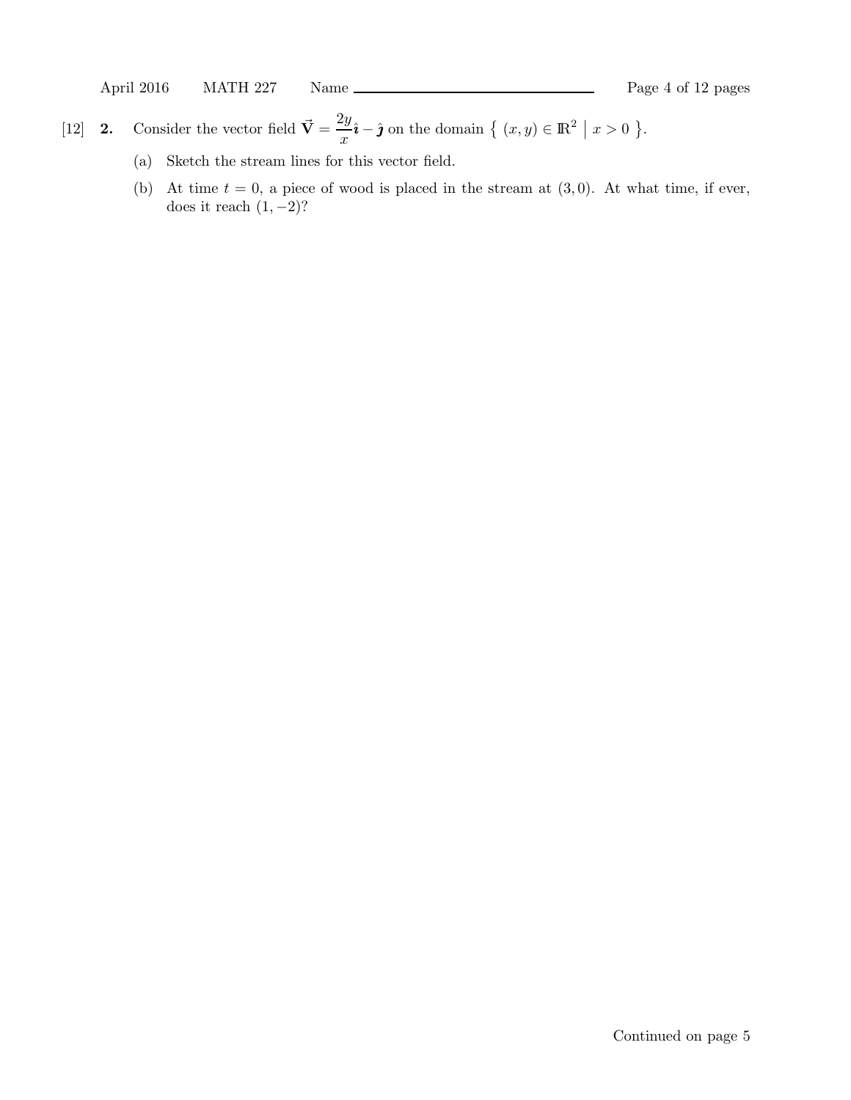- [12] **2.** Consider the vector field  $\vec{V} = \frac{2y}{\tau}$  $\frac{dy}{dx}\hat{i} - \hat{j}$  on the domain  $\{ (x, y) \in \mathbb{R}^2 \mid x > 0 \}$ .
	- (a) Sketch the stream lines for this vector field.
	- (b) At time  $t = 0$ , a piece of wood is placed in the stream at  $(3, 0)$ . At what time, if ever, does it reach  $(1, -2)$ ?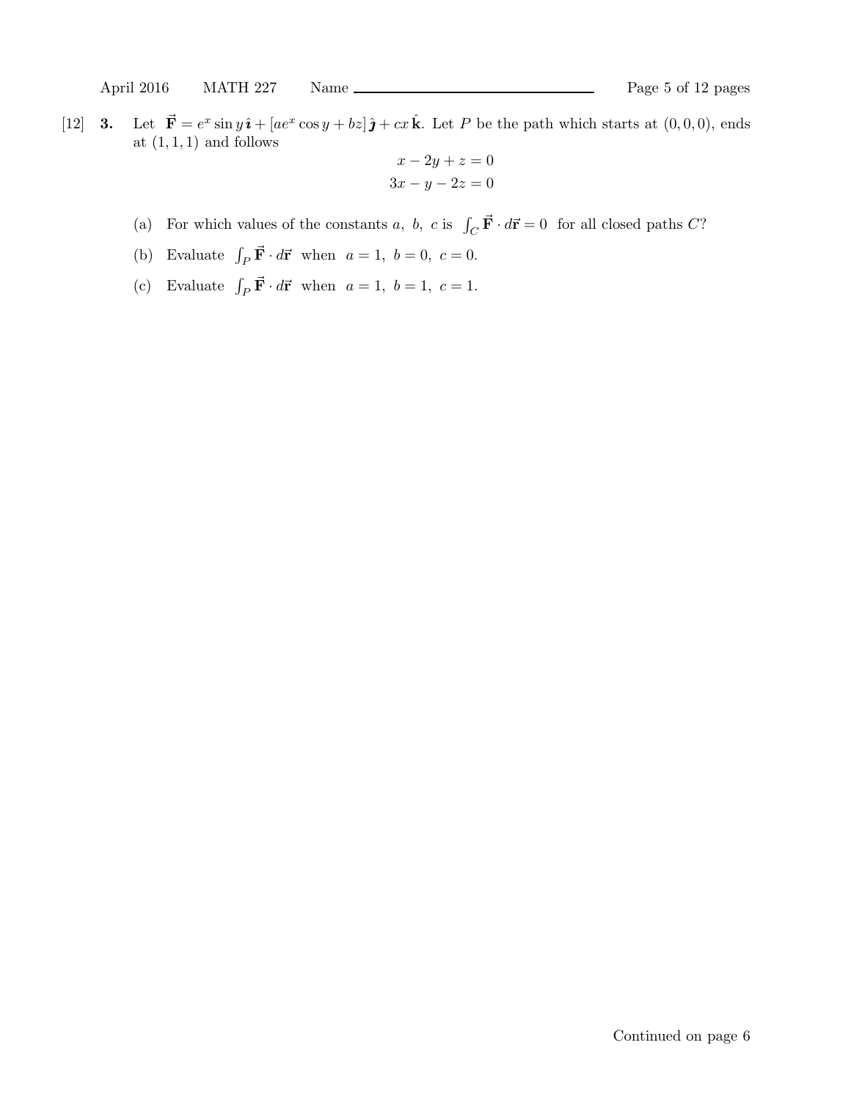[12] **3.** Let  $\vec{F} = e^x \sin y \hat{\imath} + [ae^x \cos y + bz] \hat{\jmath} + cx \hat{k}$ . Let P be the path which starts at  $(0, 0, 0)$ , ends at  $(1, 1, 1)$  and follows

$$
x - 2y + z = 0
$$

$$
3x - y - 2z = 0
$$

- (a) For which values of the constants a, b, c is  $\int_C \vec{F} \cdot d\vec{r} = 0$  for all closed paths C?
- (b) Evaluate  $\int_P \vec{F} \cdot d\vec{r}$  when  $a = 1, b = 0, c = 0$ .
- (c) Evaluate  $\int_P \vec{F} \cdot d\vec{r}$  when  $a = 1, b = 1, c = 1$ .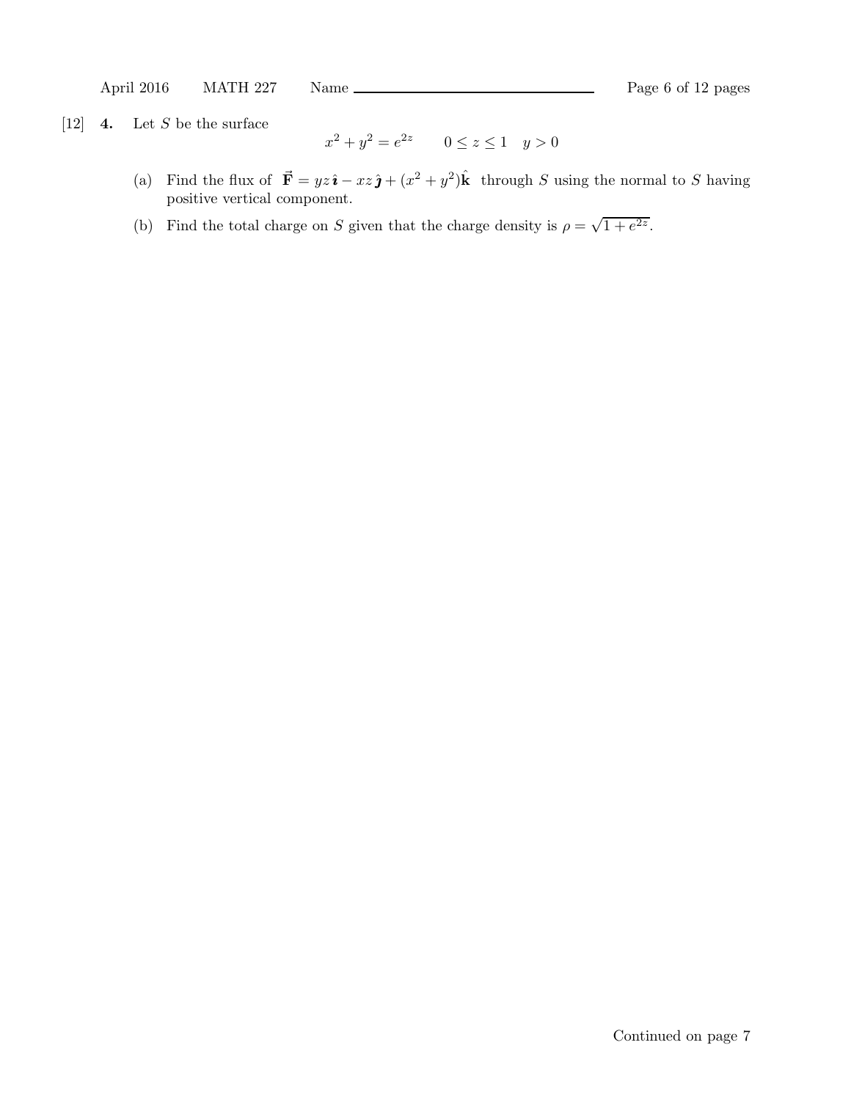[12]  $\boldsymbol{4.}$  Let S be the surface

$$
x^2 + y^2 = e^{2z} \qquad 0 \le z \le 1 \quad y > 0
$$

- (a) Find the flux of  $\vec{F} = yz\hat{i} xz\hat{j} + (x^2 + y^2)\hat{k}$  through S using the normal to S having positive vertical component.
- (b) Find the total charge on S given that the charge density is  $\rho = \sqrt{1 + e^{2z}}$ .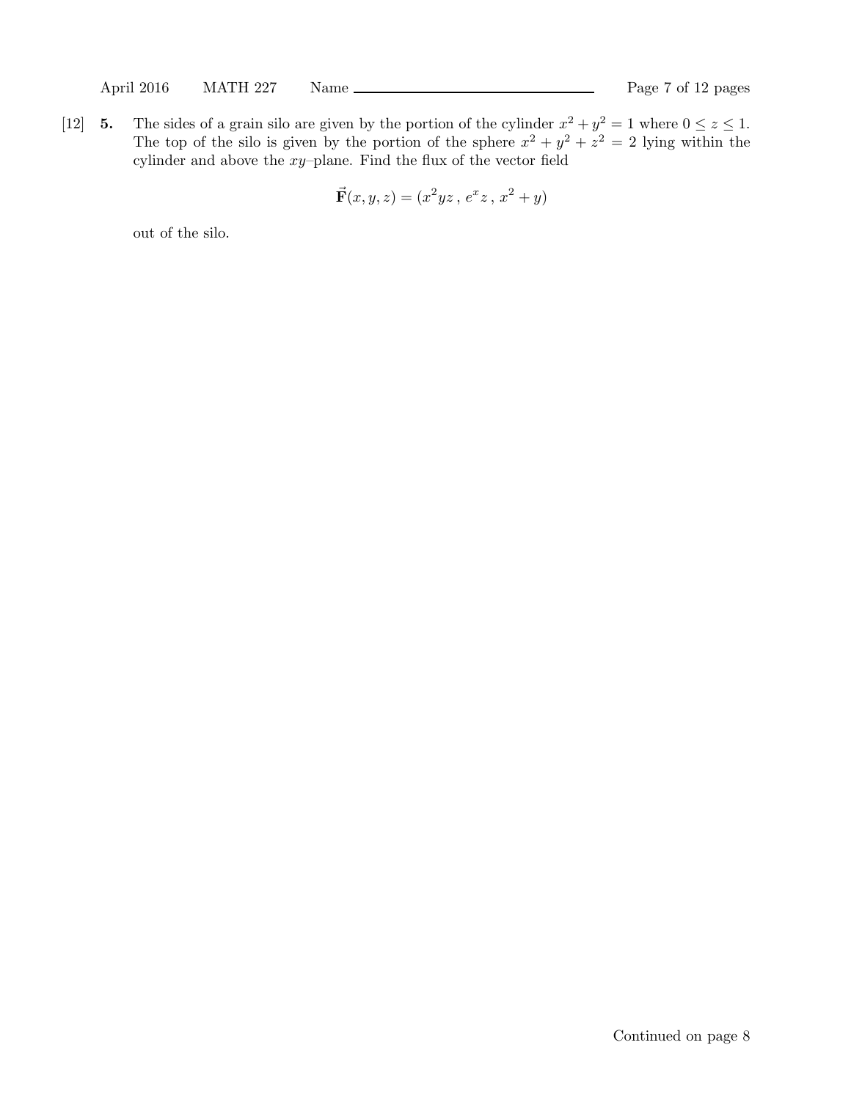[12] 5. The sides of a grain silo are given by the portion of the cylinder  $x^2 + y^2 = 1$  where  $0 \le z \le 1$ . The top of the silo is given by the portion of the sphere  $x^2 + y^2 + z^2 = 2$  lying within the cylinder and above the  $xy$ -plane. Find the flux of the vector field

$$
\vec{\mathbf{F}}(x,y,z) = (x^2yz, e^xz, x^2 + y)
$$

out of the silo.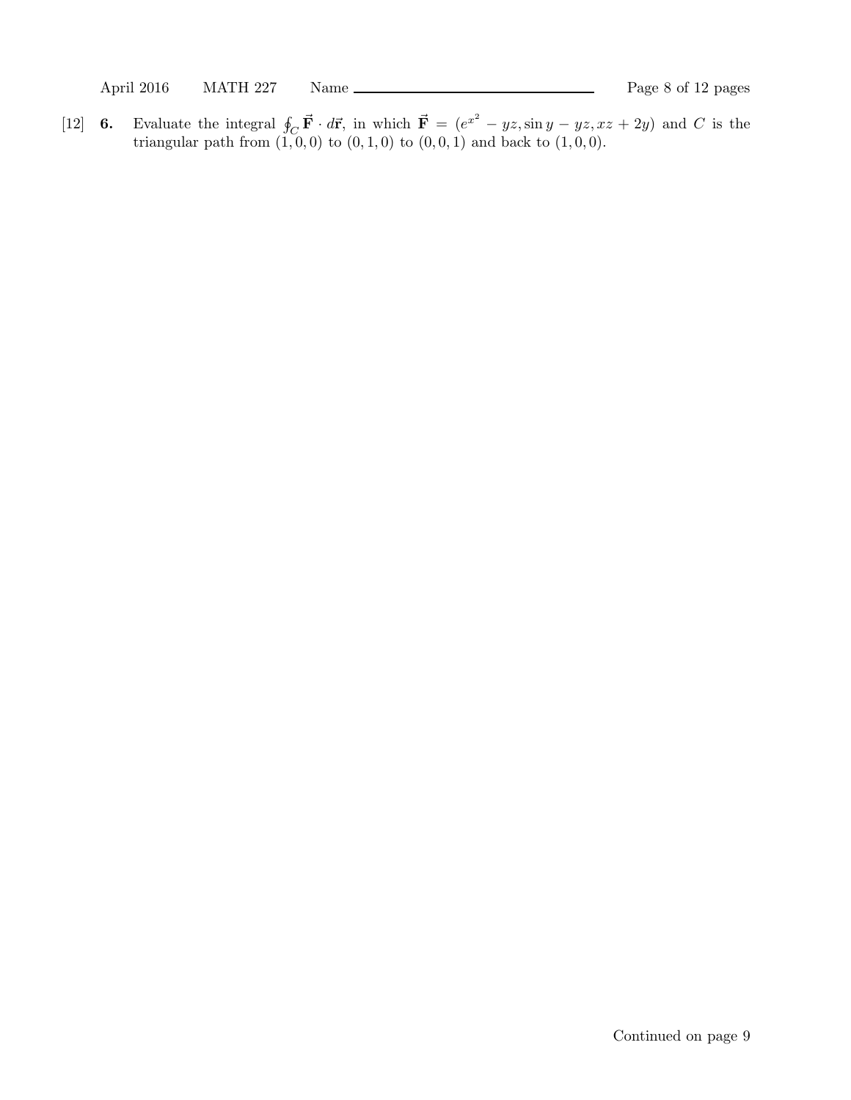April 2016 MATH 227 Name Page 8 of 12 pages

[12] 6. Evaluate the integral  $\oint_C \vec{F} \cdot d\vec{r}$ , in which  $\vec{F} = (e^{x^2} - yz, \sin y - yz, xz + 2y)$  and C is the triangular path from  $(1, 0, 0)$  to  $(0, 1, 0)$  to  $(0, 0, 1)$  and back to  $(1, 0, 0)$ .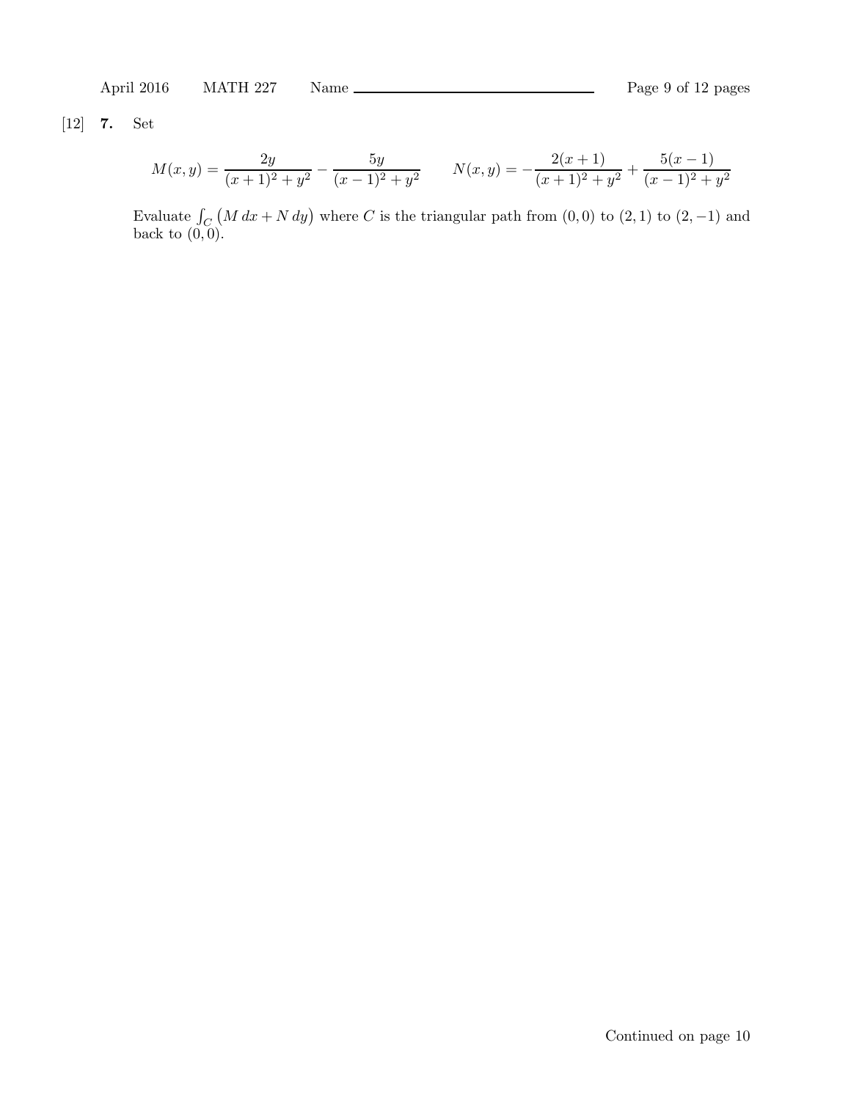April 2016 MATH 227 Name Rage 9 of 12 pages

[12] 7. Set

$$
M(x,y) = \frac{2y}{(x+1)^2 + y^2} - \frac{5y}{(x-1)^2 + y^2}
$$
 
$$
N(x,y) = -\frac{2(x+1)}{(x+1)^2 + y^2} + \frac{5(x-1)}{(x-1)^2 + y^2}
$$

Evaluate  $\int_C (M dx + N dy)$  where C is the triangular path from  $(0, 0)$  to  $(2, 1)$  to  $(2, -1)$  and back to  $(0, 0)$ .